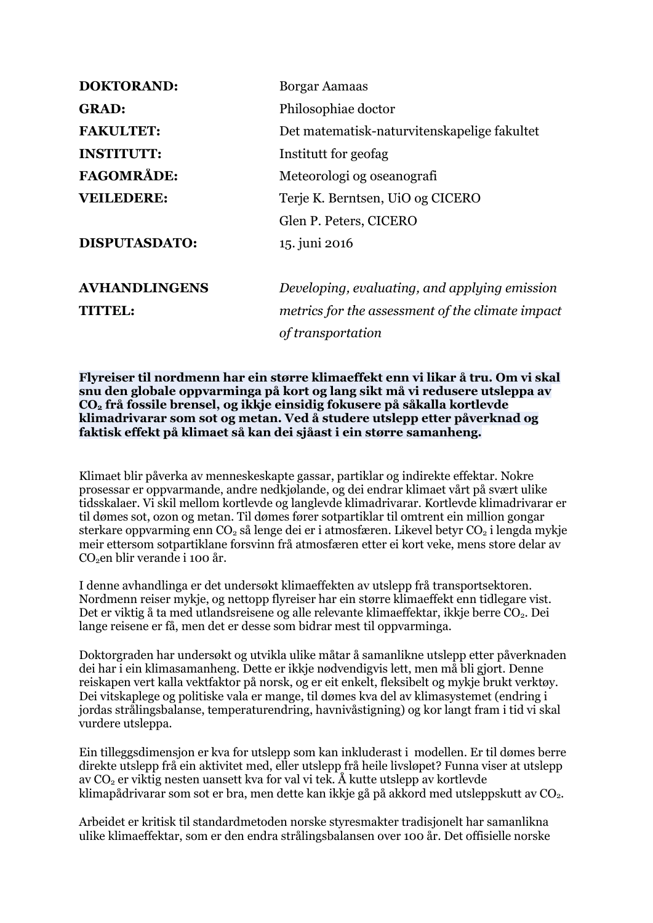| <b>DOKTORAND:</b>    | <b>Borgar Aamaas</b>                             |
|----------------------|--------------------------------------------------|
| <b>GRAD:</b>         | Philosophiae doctor                              |
| <b>FAKULTET:</b>     | Det matematisk-naturvitenskapelige fakultet      |
| <b>INSTITUTT:</b>    | Institutt for geofag                             |
| <b>FAGOMRÅDE:</b>    | Meteorologi og oseanografi                       |
| <b>VEILEDERE:</b>    | Terje K. Berntsen, UiO og CICERO                 |
|                      | Glen P. Peters, CICERO                           |
| <b>DISPUTASDATO:</b> | 15. juni 2016                                    |
| <b>AVHANDLINGENS</b> | Developing, evaluating, and applying emission    |
| TITTEL:              | metrics for the assessment of the climate impact |
|                      | of transportation                                |

**Flyreiser til nordmenn har ein større klimaeffekt enn vi likar å tru. Om vi skal snu den globale oppvarminga på kort og lang sikt må vi redusere utsleppa av CO<sup>2</sup> frå fossile brensel, og ikkje einsidig fokusere på såkalla kortlevde klimadrivarar som sot og metan. Ved å studere utslepp etter påverknad og faktisk effekt på klimaet så kan dei sjåast i ein større samanheng.**

Klimaet blir påverka av menneskeskapte gassar, partiklar og indirekte effektar. Nokre prosessar er oppvarmande, andre nedkjølande, og dei endrar klimaet vårt på svært ulike tidsskalaer. Vi skil mellom kortlevde og langlevde klimadrivarar. Kortlevde klimadrivarar er til dømes sot, ozon og metan. Til dømes fører sotpartiklar til omtrent ein million gongar sterkare oppvarming enn  $CO_2$  så lenge dei er i atmosfæren. Likevel betyr  $CO_2$  i lengda mykje meir ettersom sotpartiklane forsvinn frå atmosfæren etter ei kort veke, mens store delar av CO<sub>2</sub>en blir verande i 100 år.

I denne avhandlinga er det undersøkt klimaeffekten av utslepp frå transportsektoren. Nordmenn reiser mykje, og nettopp flyreiser har ein større klimaeffekt enn tidlegare vist. Det er viktig å ta med utlandsreisene og alle relevante klimaeffektar, ikkje berre CO<sub>2</sub>. Dei lange reisene er få, men det er desse som bidrar mest til oppvarminga.

Doktorgraden har undersøkt og utvikla ulike måtar å samanlikne utslepp etter påverknaden dei har i ein klimasamanheng. Dette er ikkje nødvendigvis lett, men må bli gjort. Denne reiskapen vert kalla vektfaktor på norsk, og er eit enkelt, fleksibelt og mykje brukt verktøy. Dei vitskaplege og politiske vala er mange, til dømes kva del av klimasystemet (endring i jordas strålingsbalanse, temperaturendring, havnivåstigning) og kor langt fram i tid vi skal vurdere utsleppa.

Ein tilleggsdimensjon er kva for utslepp som kan inkluderast i modellen. Er til dømes berre direkte utslepp frå ein aktivitet med, eller utslepp frå heile livsløpet? Funna viser at utslepp av  $CO<sub>2</sub>$  er viktig nesten uansett kva for val vi tek. Å kutte utslepp av kortlevde klimapådrivarar som sot er bra, men dette kan ikkje gå på akkord med utsleppskutt av CO<sub>2</sub>.

Arbeidet er kritisk til standardmetoden norske styresmakter tradisjonelt har samanlikna ulike klimaeffektar, som er den endra strålingsbalansen over 100 år. Det offisielle norske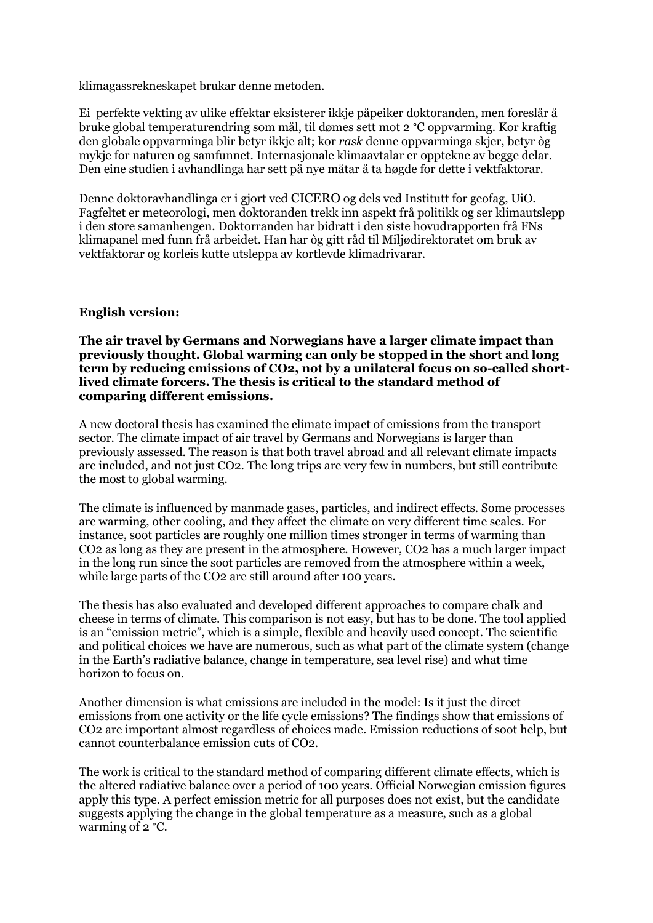klimagassrekneskapet brukar denne metoden.

Ei perfekte vekting av ulike effektar eksisterer ikkje påpeiker doktoranden, men foreslår å bruke global temperaturendring som mål, til dømes sett mot 2 °C oppvarming. Kor kraftig den globale oppvarminga blir betyr ikkje alt; kor *rask* denne oppvarminga skjer, betyr òg mykje for naturen og samfunnet. Internasjonale klimaavtalar er opptekne av begge delar. Den eine studien i avhandlinga har sett på nye måtar å ta høgde for dette i vektfaktorar.

Denne doktoravhandlinga er i gjort ved CICERO og dels ved Institutt for geofag, UiO. Fagfeltet er meteorologi, men doktoranden trekk inn aspekt frå politikk og ser klimautslepp i den store samanhengen. Doktorranden har bidratt i den siste hovudrapporten frå FNs klimapanel med funn frå arbeidet. Han har òg gitt råd til Miljødirektoratet om bruk av vektfaktorar og korleis kutte utsleppa av kortlevde klimadrivarar.

## **English version:**

**The air travel by Germans and Norwegians have a larger climate impact than previously thought. Global warming can only be stopped in the short and long term by reducing emissions of CO2, not by a unilateral focus on so-called shortlived climate forcers. The thesis is critical to the standard method of comparing different emissions.**

A new doctoral thesis has examined the climate impact of emissions from the transport sector. The climate impact of air travel by Germans and Norwegians is larger than previously assessed. The reason is that both travel abroad and all relevant climate impacts are included, and not just CO2. The long trips are very few in numbers, but still contribute the most to global warming.

The climate is influenced by manmade gases, particles, and indirect effects. Some processes are warming, other cooling, and they affect the climate on very different time scales. For instance, soot particles are roughly one million times stronger in terms of warming than CO2 as long as they are present in the atmosphere. However, CO2 has a much larger impact in the long run since the soot particles are removed from the atmosphere within a week, while large parts of the CO2 are still around after 100 years.

The thesis has also evaluated and developed different approaches to compare chalk and cheese in terms of climate. This comparison is not easy, but has to be done. The tool applied is an "emission metric", which is a simple, flexible and heavily used concept. The scientific and political choices we have are numerous, such as what part of the climate system (change in the Earth's radiative balance, change in temperature, sea level rise) and what time horizon to focus on.

Another dimension is what emissions are included in the model: Is it just the direct emissions from one activity or the life cycle emissions? The findings show that emissions of CO2 are important almost regardless of choices made. Emission reductions of soot help, but cannot counterbalance emission cuts of CO2.

The work is critical to the standard method of comparing different climate effects, which is the altered radiative balance over a period of 100 years. Official Norwegian emission figures apply this type. A perfect emission metric for all purposes does not exist, but the candidate suggests applying the change in the global temperature as a measure, such as a global warming of 2 °C.